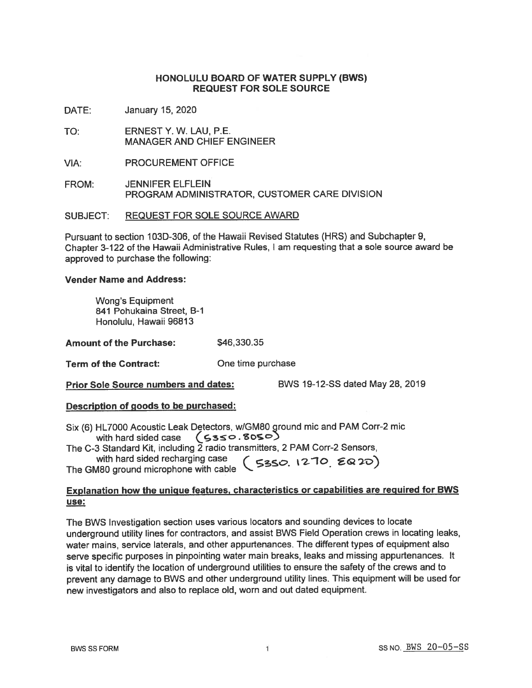#### HONOLULU BOARD OF WATER SUPPLY (BWS) REQUEST FOR SOLE SOURCE

DATE: January 15, 2020

- TO: ERNEST Y. W. LAU, RE. MANAGER AND CHIEF ENGINEER
- VIA: PROCUREMENT OFFICE
- FROM: JENNIFER ELFLEIN PROGRAM ADMINISTRATOR, CUSTOMER CARE DIVISION

#### SUBJECT: REQUEST FOR SOLE SOURCE AWARD

Pursuant to section 103D-306, of the Hawaii Revised Statutes (HRS) and Subchapter 9. Chapter 3-122 of the Hawaii Administrative Rules, <sup>I</sup> am requesting that a sole source award be approved to purchase the following:

#### Vender Name and Address:

Wong's Equipment 841 Pohukaina Street, B-1 Honolulu, Hawaii 96813

Amount of the Purchase: \$46,330.35

Term of the Contract: One time purchase

Prior Sole Source numbers and dates: BWS 19-12-SS dated May 28, 2019

### Description of goods to be purchased:

- Six (6) HL7000 Acoustic Leak Detectors, w/GM8O ground mic and PAM Corr-2 mic with hard sided case  $(5350.8050)$
- The C-3 Standard Kit, including  $\tilde{2}$  radio transmitters, 2 PAM Corr-2 Sensors,

with hard sided recharging case with hard sided recharging case<br>The GM80 ground microphone with cable  $($  5350. 1270.  $\epsilon$ Q20

### Explanation how the unique features, characteristics or capabilities are required for BWS use:

The BWS Investigation section uses various locators and sounding devices to locate underground utility lines for contractors, and assist BWS Field Operation crews in locating leaks, water mains, service laterals, and other appurtenances. The different types of equipment also serve specific purposes in pinpointing water main breaks, leaks and missing appurtenances. It is vital to identify the location of underground utilities to ensure the safety of the crews and to prevent any damage to BWS and other underground utility lines. This equipment will be used for new investigators and also to replace old, worn and out dated equipment.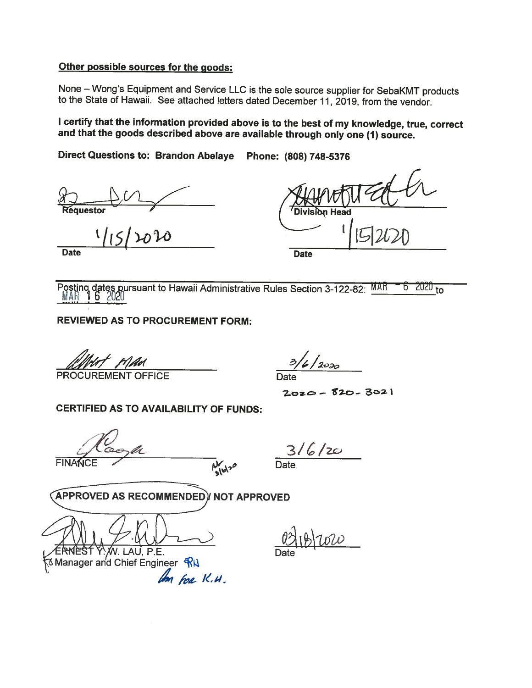### Other possible sources for the goods:

None — Wong's Equipment and Service LLC is the sole source supplier for SebaKMT products to the State of Hawaii. See attached letters dated December 11, 2019, from the vendor.

<sup>I</sup> certify that the information provided above is to the best of my knowledge, true, correct and that the goods described above are available through only one (1) source.

Direct Questions to: Brandon Abelaye Phone: (808) 748-5376

Requestor

1/15/2020

Division Head |15|2020

**Date** 

**Date** 

Posting dates pursuant to Hawaii Administrative Rules Section 3-122-82: MAR - 6 2020 to MAR 1 6 2020

REVIEWED AS TO PROCUREMENT FORM:

PROCUREMENT OFFICE

 $3/6/2020$ 

 $20z$  - 820 - 3021

CERTIFIED AS TO AVAILABILITY OF FUNDS:

FINA<sup>1</sup>

 $N_{s|s|10}$ 

3/6/zc Date

**APPROVED AS RECOMMENDED)/ NOT APPROVED** 

XV. LAU, P.E.

 $\frac{11}{15}$ Date

and Chief Engineer Am for K.H.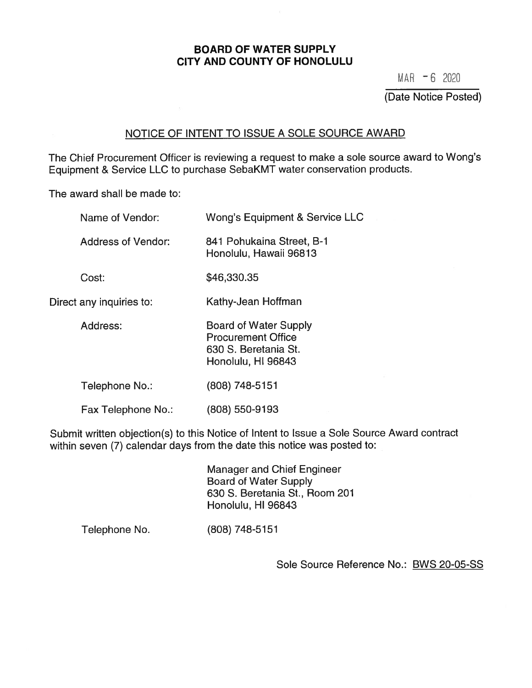# BOARD OF WATER SUPPLY CITY AND COUNTY OF HONOLULU

MAH —6 2020

(Date Notice Posted)

# NOTICE OF INTENT TO ISSUE A SOLE SOURCE AWARD

The Chief Procurement Officer is reviewing a request to make a sole source award to Wong's Equipment & Service LLC to purchase SebaKMT water conservation products.

The award shall be made to:

| Name of Vendor:           | Wong's Equipment & Service LLC                                                                          |
|---------------------------|---------------------------------------------------------------------------------------------------------|
| <b>Address of Vendor:</b> | 841 Pohukaina Street, B-1<br>Honolulu, Hawaii 96813                                                     |
| Cost:                     | \$46,330.35                                                                                             |
| Direct any inquiries to:  | Kathy-Jean Hoffman                                                                                      |
| Address:                  | <b>Board of Water Supply</b><br><b>Procurement Office</b><br>630 S. Beretania St.<br>Honolulu, HI 96843 |
| Telephone No.:            | (808) 748-5151                                                                                          |
| Fax Telephone No.:        | (808) 550-9193                                                                                          |

Submit written objection(s) to this Notice of Intent to Issue a Sole Source Award contract within seven (7) calendar days from the date this notice was posted to:

> Manager and Chief Engineer Board of Water Supply 630 S. Beretania St., Room 201 Honolulu, HI 96843

Telephone No. (808) 748-5151

Sole Source Reference No.: BWS 20-05-SS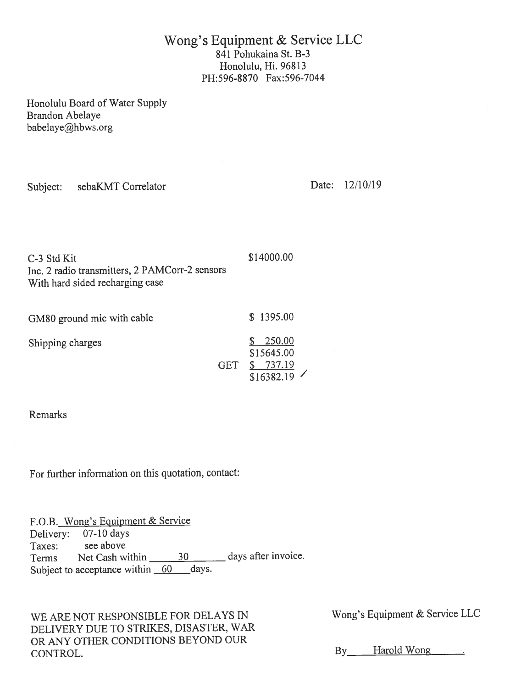# Wong's Equipment & Service LLC 841 Pohukaina St. B-3 Honolulu, Hi. 96813 PH:596-\$870 Fax:596-7044

Honolulu Board of Water Supply Brandon Abelaye babelaye@hbws.org

| Subject: sebaKMT Correlator |  |
|-----------------------------|--|
|                             |  |

Date: 12/10/19

| C-3 Std Kit<br>Inc. 2 radio transmitters, 2 PAMCorr-2 sensors<br>With hard sided recharging case | \$14000.00 |                                                  |  |
|--------------------------------------------------------------------------------------------------|------------|--------------------------------------------------|--|
| GM80 ground mic with cable                                                                       |            | \$1395.00                                        |  |
| Shipping charges                                                                                 |            | 250.00<br>\$15645.00                             |  |
|                                                                                                  | <b>GET</b> | 737.19<br>$\overline{\mathscr{I}}$<br>\$16382.19 |  |

Remarks

For further information on this quotation, contact:

F.O.B. Wong's Equipment & Service Delivery: 07-10 days Taxes: see above Terms Net Cash within 30 days after invoice. Subject to acceptance within  $60$  days.

WE ARE NOT RESPONSIBLE FOR DELAYS IN Wong's Equipment & Service LLC DELIVERY DUE TO STRIKES, DISASTER, WAR OR ANY OTHER CONDITIONS BEYOND OUR CONTROL. By Harold Wong ...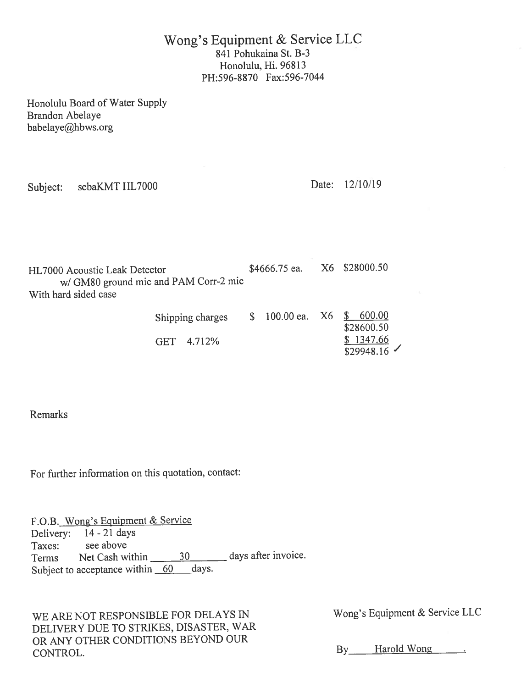# Wong's Equipment & Service LLC \$41 Pohukaina St. B-3 Honolulu, Hi. 96813 PH:596-8870 Fax:596-7044

Honolulu Board of Water Supply Brandon Abelaye babelaye@hbws.org

| Subject:                                                                                       | sebaKMT HL7000 |                      |    |                 | Date:         | 12/10/19                   |
|------------------------------------------------------------------------------------------------|----------------|----------------------|----|-----------------|---------------|----------------------------|
| HL7000 Acoustic Leak Detector<br>w/ GM80 ground mic and PAM Corr-2 mic<br>With hard sided case |                | \$4666.75 ea.        |    |                 | X6 \$28000.50 |                            |
|                                                                                                |                | Shipping charges     | \$ | 100.00 ea. $X6$ |               | 600.00<br>S.<br>\$28600.50 |
|                                                                                                |                | 4.712%<br><b>GET</b> |    |                 |               | \$1347.66<br>\$29948.16    |

# Remarks

for further information on this quotation, contact:

F.O.B. Wong's Equipment & Service Delivery: <sup>14</sup> - <sup>21</sup> days Taxes: see above Terms Net Cash within 30 days after invoice. Subject to acceptance within  $\overline{60}$  days.

WE ARE NOT RESPONSIBLE FOR DELAYS IN Wong's Equipment & Service LLC DELIVERY DUE TO STRIKES, DISASTER, WAR OR ANY OTHER CONDITIONS BEYOND OUR CONTROL. By Harold Wong ...